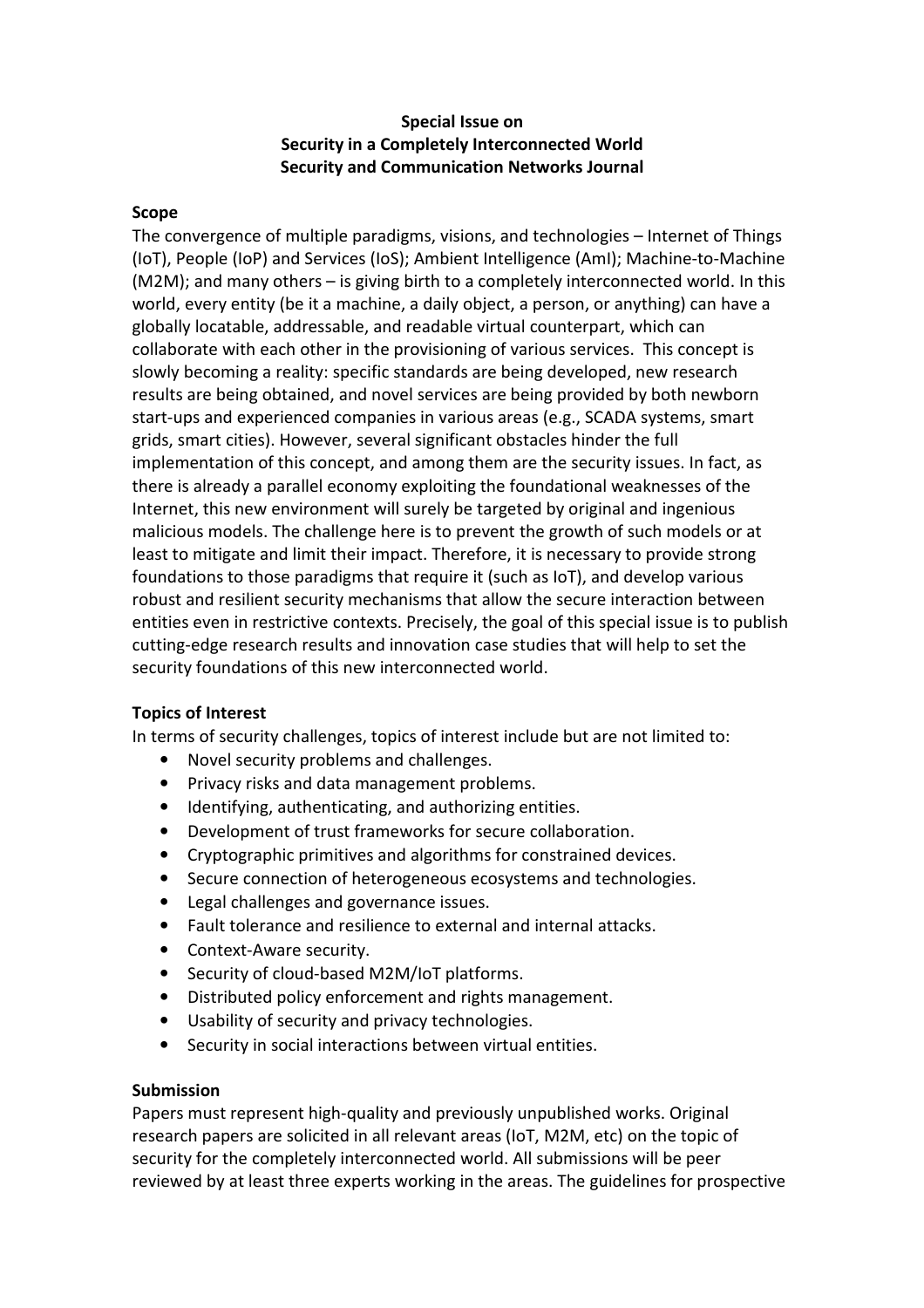# Special Issue on Security in a Completely Interconnected World Security and Communication Networks Journal

### Scope

The convergence of multiple paradigms, visions, and technologies – Internet of Things (IoT), People (IoP) and Services (IoS); Ambient Intelligence (AmI); Machine-to-Machine (M2M); and many others – is giving birth to a completely interconnected world. In this world, every entity (be it a machine, a daily object, a person, or anything) can have a globally locatable, addressable, and readable virtual counterpart, which can collaborate with each other in the provisioning of various services. This concept is slowly becoming a reality: specific standards are being developed, new research results are being obtained, and novel services are being provided by both newborn start-ups and experienced companies in various areas (e.g., SCADA systems, smart grids, smart cities). However, several significant obstacles hinder the full implementation of this concept, and among them are the security issues. In fact, as there is already a parallel economy exploiting the foundational weaknesses of the Internet, this new environment will surely be targeted by original and ingenious malicious models. The challenge here is to prevent the growth of such models or at least to mitigate and limit their impact. Therefore, it is necessary to provide strong foundations to those paradigms that require it (such as IoT), and develop various robust and resilient security mechanisms that allow the secure interaction between entities even in restrictive contexts. Precisely, the goal of this special issue is to publish cutting-edge research results and innovation case studies that will help to set the security foundations of this new interconnected world.

## Topics of Interest

In terms of security challenges, topics of interest include but are not limited to:

- Novel security problems and challenges.
- Privacy risks and data management problems.
- Identifying, authenticating, and authorizing entities.
- Development of trust frameworks for secure collaboration.
- Cryptographic primitives and algorithms for constrained devices.
- Secure connection of heterogeneous ecosystems and technologies.
- Legal challenges and governance issues.
- Fault tolerance and resilience to external and internal attacks.
- Context-Aware security.
- Security of cloud-based M2M/IoT platforms.
- Distributed policy enforcement and rights management.
- Usability of security and privacy technologies.
- Security in social interactions between virtual entities.

#### Submission

Papers must represent high-quality and previously unpublished works. Original research papers are solicited in all relevant areas (IoT, M2M, etc) on the topic of security for the completely interconnected world. All submissions will be peer reviewed by at least three experts working in the areas. The guidelines for prospective